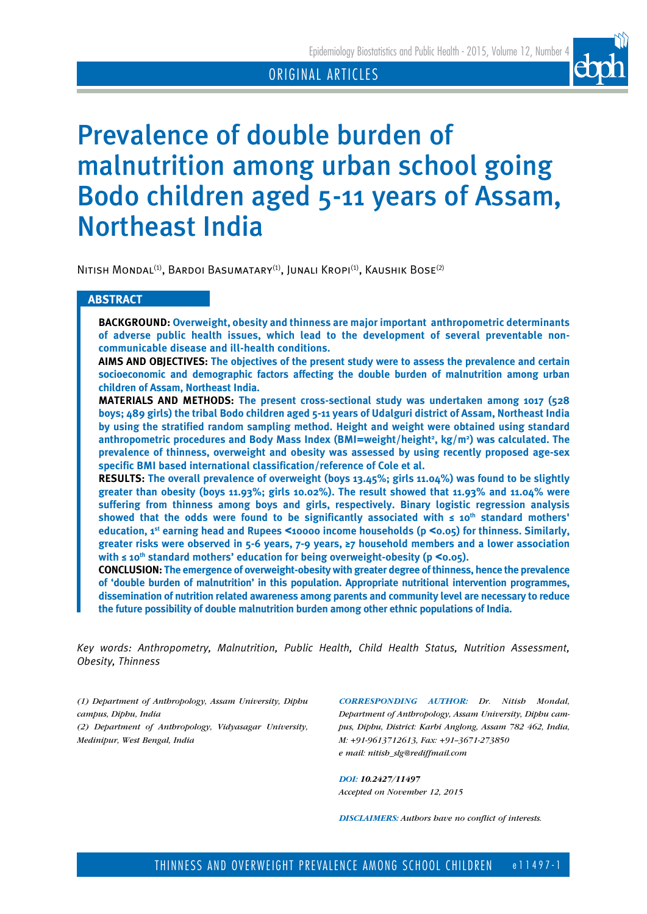

# Prevalence of double burden of malnutrition among urban school going Bodo children aged 5-11 years of Assam, Northeast India

NITISH MONDAL<sup>(1)</sup>, BARDOI BASUMATARY<sup>(1)</sup>, JUNALI KROPI<sup>(1)</sup>, KAUSHIK BOSE<sup>(2)</sup>

# **ABSTRACT**

**BACKGROUND: Overweight, obesity and thinness are major important anthropometric determinants of adverse public health issues, which lead to the development of several preventable noncommunicable disease and ill-health conditions.** 

**AIMS AND OBJECTIVES: The objectives of the present study were to assess the prevalence and certain socioeconomic and demographic factors affecting the double burden of malnutrition among urban children of Assam, Northeast India.** 

**MATERIALS AND METHODS: The present cross-sectional study was undertaken among 1017 (528 boys; 489 girls) the tribal Bodo children aged 5-11 years of Udalguri district of Assam, Northeast India by using the stratified random sampling method. Height and weight were obtained using standard anthropometric procedures and Body Mass Index (BMI=weight/height2 , kg/m2 ) was calculated. The prevalence of thinness, overweight and obesity was assessed by using recently proposed age-sex specific BMI based international classification/reference of Cole et al.** 

**RESULTS: The overall prevalence of overweight (boys 13.45%; girls 11.04%) was found to be slightly greater than obesity (boys 11.93%; girls 10.02%). The result showed that 11.93% and 11.04% were suffering from thinness among boys and girls, respectively. Binary logistic regression analysis showed that the odds were found to be significantly associated with ≤ 10th standard mothers' education, 1st earning head and Rupees** <**10000 income households (p** <**0.05) for thinness. Similarly, greater risks were observed in 5-6 years, 7-9 years, ≥7 household members and a lower association with ≤ 10th standard mothers' education for being overweight-obesity (p** <**0.05).** 

**CONCLUSION: The emergence of overweight-obesity with greater degree of thinness, hence the prevalence of 'double burden of malnutrition' in this population. Appropriate nutritional intervention programmes, dissemination of nutrition related awareness among parents and community level are necessary to reduce the future possibility of double malnutrition burden among other ethnic populations of India.** 

*Key words: Anthropometry, Malnutrition, Public Health, Child Health Status, Nutrition Assessment, Obesity, Thinness*

*(1) Department of Anthropology, Assam University, Diphu campus, Diphu, India*

*(2) Department of Anthropology, Vidyasagar University, Medinipur, West Bengal, India*

*CORRESPONDING AUTHOR: Dr. Nitish Mondal, Department of Anthropology, Assam University, Diphu campus, Diphu, District: Karbi Anglong, Assam 782 462, India, M: +91-9613712613, Fax: +91--3671-273850 e mail: nitish\_slg@rediffmail.com*

*DOI: 10.2427/11497 Accepted on November 12, 2015*

*DISCLAIMERS: Authors have no conflict of interests.*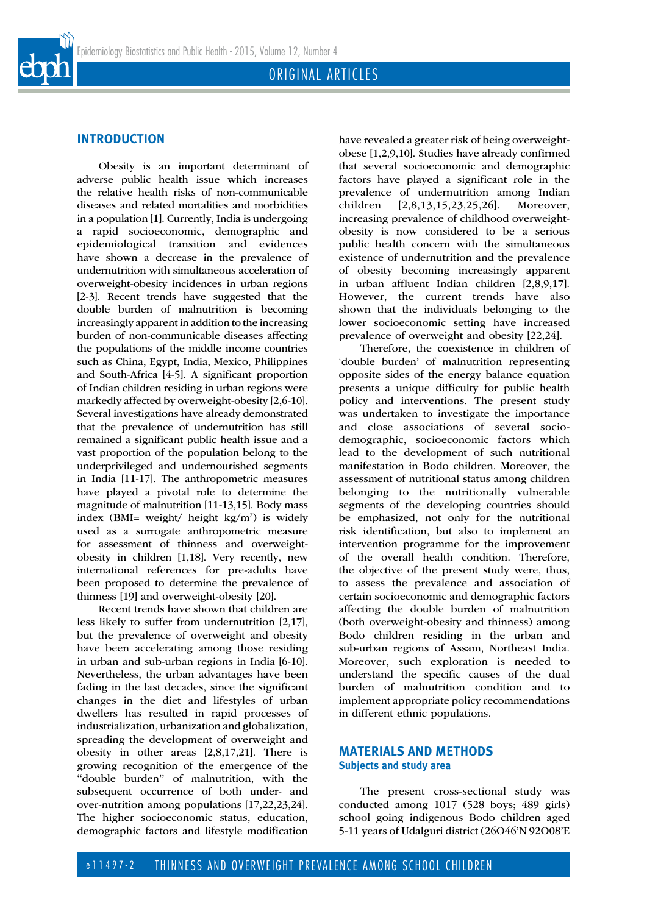

# **INTRODUCTION**

Obesity is an important determinant of adverse public health issue which increases the relative health risks of non-communicable diseases and related mortalities and morbidities in a population [1]. Currently, India is undergoing a rapid socioeconomic, demographic and epidemiological transition and evidences have shown a decrease in the prevalence of undernutrition with simultaneous acceleration of overweight-obesity incidences in urban regions [2-3]. Recent trends have suggested that the double burden of malnutrition is becoming increasingly apparent in addition to the increasing burden of non-communicable diseases affecting the populations of the middle income countries such as China, Egypt, India, Mexico, Philippines and South-Africa [4-5]. A significant proportion of Indian children residing in urban regions were markedly affected by overweight-obesity [2,6-10]. Several investigations have already demonstrated that the prevalence of undernutrition has still remained a significant public health issue and a vast proportion of the population belong to the underprivileged and undernourished segments in India [11-17]. The anthropometric measures have played a pivotal role to determine the magnitude of malnutrition [11-13,15]. Body mass index (BMI= weight/ height kg/m2 ) is widely used as a surrogate anthropometric measure for assessment of thinness and overweightobesity in children [1,18]. Very recently, new international references for pre-adults have been proposed to determine the prevalence of thinness [19] and overweight-obesity [20].

Recent trends have shown that children are less likely to suffer from undernutrition [2,17], but the prevalence of overweight and obesity have been accelerating among those residing in urban and sub-urban regions in India [6-10]. Nevertheless, the urban advantages have been fading in the last decades, since the significant changes in the diet and lifestyles of urban dwellers has resulted in rapid processes of industrialization, urbanization and globalization, spreading the development of overweight and obesity in other areas [2,8,17,21]. There is growing recognition of the emergence of the ''double burden'' of malnutrition, with the subsequent occurrence of both under- and over-nutrition among populations [17,22,23,24]. The higher socioeconomic status, education, demographic factors and lifestyle modification have revealed a greater risk of being overweightobese [1,2,9,10]. Studies have already confirmed that several socioeconomic and demographic factors have played a significant role in the prevalence of undernutrition among Indian children [2,8,13,15,23,25,26]. Moreover, increasing prevalence of childhood overweightobesity is now considered to be a serious public health concern with the simultaneous existence of undernutrition and the prevalence of obesity becoming increasingly apparent in urban affluent Indian children [2,8,9,17]. However, the current trends have also shown that the individuals belonging to the lower socioeconomic setting have increased prevalence of overweight and obesity [22,24].

Therefore, the coexistence in children of 'double burden' of malnutrition representing opposite sides of the energy balance equation presents a unique difficulty for public health policy and interventions. The present study was undertaken to investigate the importance and close associations of several sociodemographic, socioeconomic factors which lead to the development of such nutritional manifestation in Bodo children. Moreover, the assessment of nutritional status among children belonging to the nutritionally vulnerable segments of the developing countries should be emphasized, not only for the nutritional risk identification, but also to implement an intervention programme for the improvement of the overall health condition. Therefore, the objective of the present study were, thus, to assess the prevalence and association of certain socioeconomic and demographic factors affecting the double burden of malnutrition (both overweight-obesity and thinness) among Bodo children residing in the urban and sub-urban regions of Assam, Northeast India. Moreover, such exploration is needed to understand the specific causes of the dual burden of malnutrition condition and to implement appropriate policy recommendations in different ethnic populations.

### **MATERIALS AND METHODS Subjects and study area**

The present cross-sectional study was conducted among 1017 (528 boys; 489 girls) school going indigenous Bodo children aged 5-11 years of Udalguri district (26O46'N 92O08'E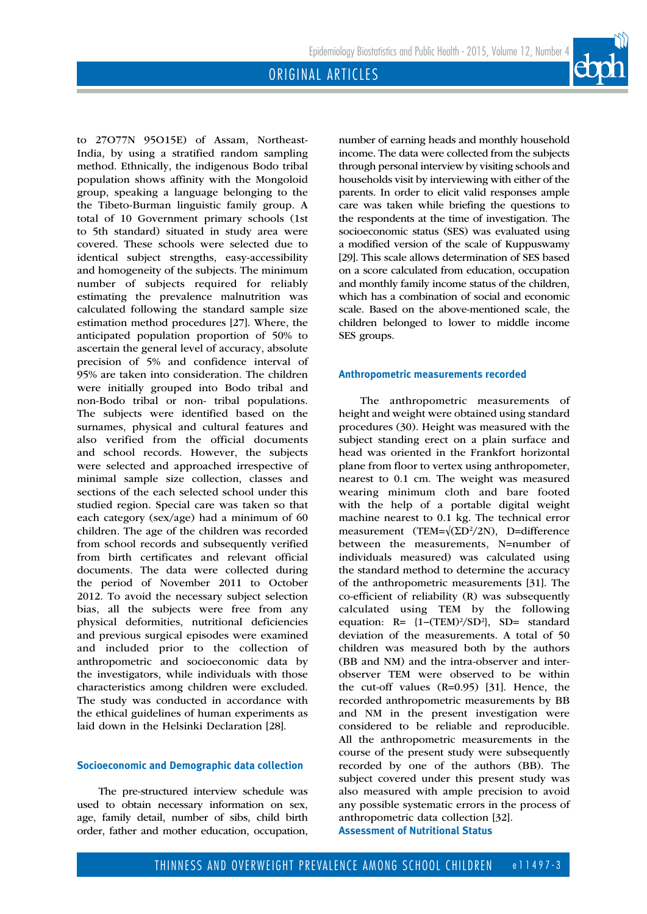to 27O77N 95O15E) of Assam, Northeast-India, by using a stratified random sampling method. Ethnically, the indigenous Bodo tribal population shows affinity with the Mongoloid group, speaking a language belonging to the the Tibeto-Burman linguistic family group. A total of 10 Government primary schools (1st to 5th standard) situated in study area were covered. These schools were selected due to identical subject strengths, easy-accessibility and homogeneity of the subjects. The minimum number of subjects required for reliably estimating the prevalence malnutrition was calculated following the standard sample size estimation method procedures [27]. Where, the anticipated population proportion of 50% to ascertain the general level of accuracy, absolute precision of 5% and confidence interval of 95% are taken into consideration. The children were initially grouped into Bodo tribal and non-Bodo tribal or non- tribal populations. The subjects were identified based on the surnames, physical and cultural features and also verified from the official documents and school records. However, the subjects were selected and approached irrespective of minimal sample size collection, classes and sections of the each selected school under this studied region. Special care was taken so that each category (sex/age) had a minimum of 60 children. The age of the children was recorded from school records and subsequently verified from birth certificates and relevant official documents. The data were collected during the period of November 2011 to October 2012. To avoid the necessary subject selection bias, all the subjects were free from any physical deformities, nutritional deficiencies and previous surgical episodes were examined and included prior to the collection of anthropometric and socioeconomic data by the investigators, while individuals with those characteristics among children were excluded. The study was conducted in accordance with the ethical guidelines of human experiments as laid down in the Helsinki Declaration [28].

# **Socioeconomic and Demographic data collection**

The pre-structured interview schedule was used to obtain necessary information on sex, age, family detail, number of sibs, child birth order, father and mother education, occupation, number of earning heads and monthly household income. The data were collected from the subjects through personal interview by visiting schools and households visit by interviewing with either of the parents. In order to elicit valid responses ample care was taken while briefing the questions to the respondents at the time of investigation. The socioeconomic status (SES) was evaluated using a modified version of the scale of Kuppuswamy [29]. This scale allows determination of SES based on a score calculated from education, occupation and monthly family income status of the children, which has a combination of social and economic scale. Based on the above-mentioned scale, the children belonged to lower to middle income SES groups.

#### **Anthropometric measurements recorded**

The anthropometric measurements of height and weight were obtained using standard procedures (30). Height was measured with the subject standing erect on a plain surface and head was oriented in the Frankfort horizontal plane from floor to vertex using anthropometer, nearest to 0.1 cm. The weight was measured wearing minimum cloth and bare footed with the help of a portable digital weight machine nearest to 0.1 kg. The technical error measurement (TEM= $\sqrt{\text{2D}^2/2N}$ ), D=difference between the measurements, N=number of individuals measured) was calculated using the standard method to determine the accuracy of the anthropometric measurements [31]. The co-efficient of reliability (R) was subsequently calculated using TEM by the following equation:  $R = \{1-(TEM)^2/SD^2\}$ , SD= standard deviation of the measurements. A total of 50 children was measured both by the authors (BB and NM) and the intra-observer and interobserver TEM were observed to be within the cut-off values (R=0.95) [31]. Hence, the recorded anthropometric measurements by BB and NM in the present investigation were considered to be reliable and reproducible. All the anthropometric measurements in the course of the present study were subsequently recorded by one of the authors (BB). The subject covered under this present study was also measured with ample precision to avoid any possible systematic errors in the process of anthropometric data collection [32]. **Assessment of Nutritional Status**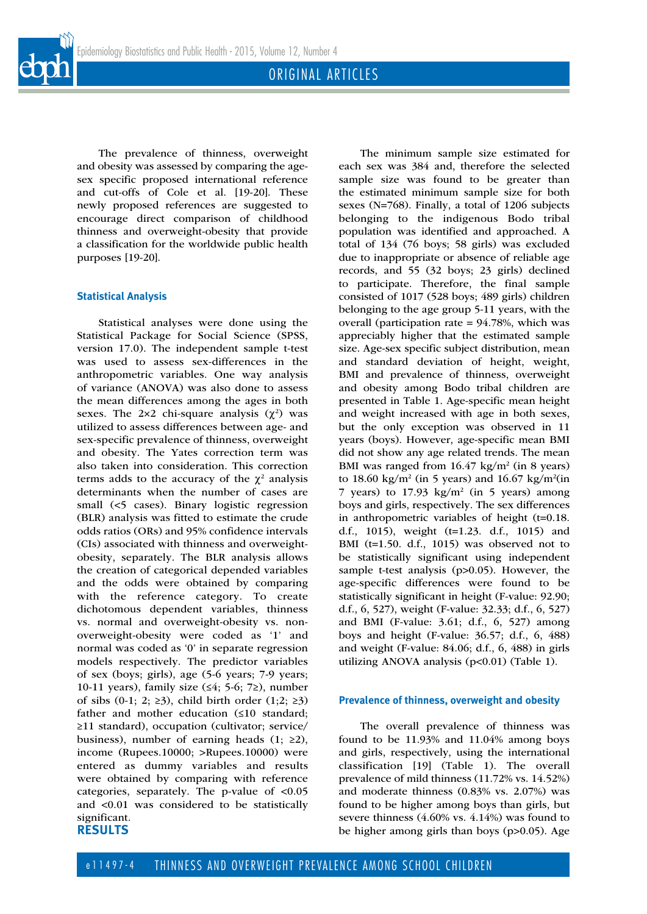The prevalence of thinness, overweight and obesity was assessed by comparing the agesex specific proposed international reference and cut-offs of Cole et al. [19-20]. These newly proposed references are suggested to encourage direct comparison of childhood thinness and overweight-obesity that provide a classification for the worldwide public health purposes [19-20].

#### **Statistical Analysis**

Statistical analyses were done using the Statistical Package for Social Science (SPSS, version 17.0). The independent sample t-test was used to assess sex-differences in the anthropometric variables. One way analysis of variance (ANOVA) was also done to assess the mean differences among the ages in both sexes. The  $2\times 2$  chi-square analysis  $(\chi^2)$  was utilized to assess differences between age- and sex-specific prevalence of thinness, overweight and obesity. The Yates correction term was also taken into consideration. This correction terms adds to the accuracy of the  $\chi^2$  analysis determinants when the number of cases are small (<5 cases). Binary logistic regression (BLR) analysis was fitted to estimate the crude odds ratios (ORs) and 95% confidence intervals (CIs) associated with thinness and overweightobesity, separately. The BLR analysis allows the creation of categorical depended variables and the odds were obtained by comparing with the reference category. To create dichotomous dependent variables, thinness vs. normal and overweight-obesity vs. nonoverweight-obesity were coded as '1' and normal was coded as '0' in separate regression models respectively. The predictor variables of sex (boys; girls), age (5-6 years; 7-9 years; 10-11 years), family size (≤4; 5-6; 7≥), number of sibs (0-1; 2;  $\geq$ 3), child birth order (1;2;  $\geq$ 3) father and mother education (≤10 standard; ≥11 standard), occupation (cultivator; service/ business), number of earning heads  $(1; 22)$ , income (Rupees.10000; >Rupees.10000) were entered as dummy variables and results were obtained by comparing with reference categories, separately. The p-value of <0.05 and <0.01 was considered to be statistically significant. **RESULTS**

The minimum sample size estimated for each sex was 384 and, therefore the selected sample size was found to be greater than the estimated minimum sample size for both sexes (N=768). Finally, a total of 1206 subjects belonging to the indigenous Bodo tribal population was identified and approached. A total of 134 (76 boys; 58 girls) was excluded due to inappropriate or absence of reliable age records, and 55 (32 boys; 23 girls) declined to participate. Therefore, the final sample consisted of 1017 (528 boys; 489 girls) children belonging to the age group 5-11 years, with the overall (participation rate = 94.78%, which was appreciably higher that the estimated sample size. Age-sex specific subject distribution, mean and standard deviation of height, weight, BMI and prevalence of thinness, overweight and obesity among Bodo tribal children are presented in Table 1. Age-specific mean height and weight increased with age in both sexes, but the only exception was observed in 11 years (boys). However, age-specific mean BMI did not show any age related trends. The mean BMI was ranged from  $16.47 \text{ kg/m}^2$  (in 8 years) to 18.60 kg/m<sup>2</sup> (in 5 years) and 16.67 kg/m<sup>2</sup>(in 7 years) to  $17.93 \text{ kg/m}^2$  (in 5 years) among boys and girls, respectively. The sex differences in anthropometric variables of height (t=0.18. d.f., 1015), weight (t=1.23. d.f., 1015) and BMI (t=1.50. d.f., 1015) was observed not to be statistically significant using independent sample t-test analysis (p>0.05). However, the age-specific differences were found to be statistically significant in height (F-value: 92.90; d.f., 6, 527), weight (F-value: 32.33; d.f., 6, 527) and BMI (F-value: 3.61; d.f., 6, 527) among boys and height (F-value: 36.57; d.f., 6, 488) and weight (F-value: 84.06; d.f., 6, 488) in girls utilizing ANOVA analysis (p<0.01) (Table 1).

#### **Prevalence of thinness, overweight and obesity**

The overall prevalence of thinness was found to be 11.93% and 11.04% among boys and girls, respectively, using the international classification [19] (Table 1). The overall prevalence of mild thinness (11.72% vs. 14.52%) and moderate thinness (0.83% vs. 2.07%) was found to be higher among boys than girls, but severe thinness (4.60% vs. 4.14%) was found to be higher among girls than boys (p>0.05). Age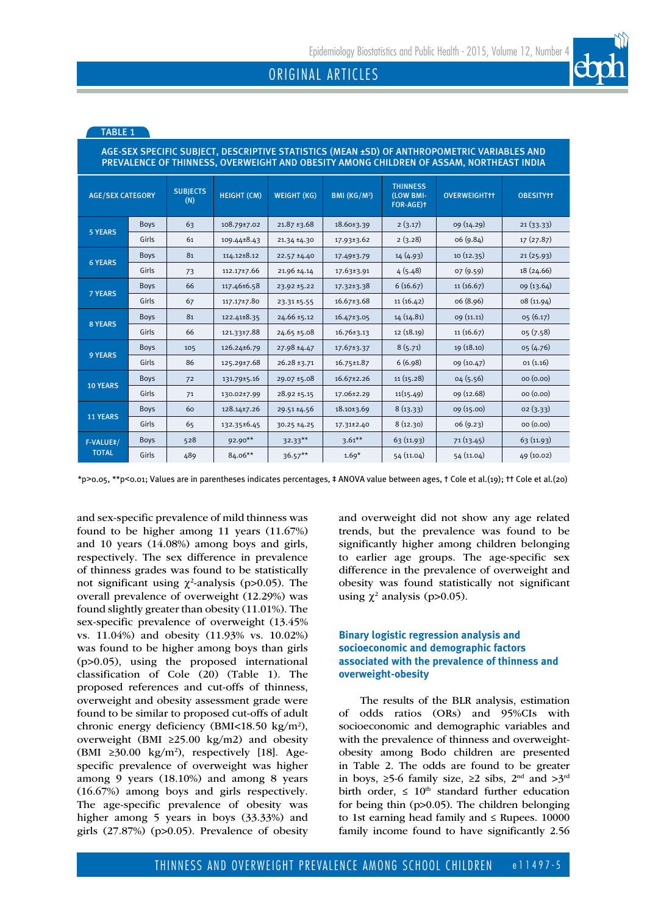| AGE-SEX SPECIFIC SUBJECT, DESCRIPTIVE STATISTICS (MEAN ±SD) OF ANTHROPOMETRIC VARIABLES AND<br>PREVALENCE OF THINNESS, OVERWEIGHT AND OBESITY AMONG CHILDREN OF ASSAM, NORTHEAST INDIA |             |                        |                    |                    |                          |                                           |                     |                  |  |  |  |
|----------------------------------------------------------------------------------------------------------------------------------------------------------------------------------------|-------------|------------------------|--------------------|--------------------|--------------------------|-------------------------------------------|---------------------|------------------|--|--|--|
| <b>AGE/SEX CATEGORY</b>                                                                                                                                                                |             | <b>SUBJECTS</b><br>(N) | <b>HEIGHT (CM)</b> | <b>WEIGHT (KG)</b> | BMI (KG/M <sup>2</sup> ) | <b>THINNESS</b><br>(LOW BMI-<br>FOR-AGE)t | <b>OVERWEIGHTtt</b> | <b>OBESITYTT</b> |  |  |  |
| <b>5 YEARS</b>                                                                                                                                                                         | <b>Boys</b> | 63                     | 108.79±7.02        | $21.87 \pm 3.68$   | 18.60±3.39               | 2(3.17)                                   | 09(14.29)           | 21(33.33)        |  |  |  |
|                                                                                                                                                                                        | Girls       | 61                     | 109.44±8.43        | $21.34 \pm 4.30$   | 17.93±3.62               | 2(3.28)                                   | 06 (9.84)           | 17(27.87)        |  |  |  |
| <b>6 YEARS</b>                                                                                                                                                                         | <b>Boys</b> | 81                     | 114.12±8.12        | 22.57 ±4.40        | 17.49±3.79               | 14(4.93)                                  | 10(12.35)           | 21(25.93)        |  |  |  |
|                                                                                                                                                                                        | Girls       | 73                     | 112.17±7.66        | 21.96 ±4.14        | 17.63±3.91               | 4(5.48)                                   | 07(9.59)            | 18 (24.66)       |  |  |  |
| <b>7 YEARS</b>                                                                                                                                                                         | <b>Boys</b> | 66                     | 117.46±6.58        | 23.92 ±5.22        | 17.32±3.38               | 6(16.67)                                  | 11(16.67)           | 09 (13.64)       |  |  |  |
|                                                                                                                                                                                        | Girls       | 67                     | 117.17±7.80        | 23.31 ±5.55        | $16.67 \pm 3.68$         | 11(16.42)                                 | 06 (8.96)           | 08 (11.94)       |  |  |  |
| <b>8 YEARS</b>                                                                                                                                                                         | <b>Boys</b> | 81                     | 122.41±8.35        | 24.66 ±5.12        | 16.47±3.05               | 14 (14.81)                                | 09 (11.11)          | 05(6.17)         |  |  |  |
|                                                                                                                                                                                        | Girls       | 66                     | 121.33±7.88        | $24.65 \pm 5.08$   | $16.76 \pm 3.13$         | 12 (18.19)                                | 11(16.67)           | 05(7.58)         |  |  |  |
| <b>9 YEARS</b>                                                                                                                                                                         | <b>Boys</b> | 105                    | 126.24±6.79        | 27.98 ±4.47        | 17.67±3.37               | 8(5.71)                                   | 19(18.10)           | 05(4.76)         |  |  |  |
|                                                                                                                                                                                        | Girls       | 86                     | 125.29±7.68        | $26.28 \pm 3.71$   | $16.75 \pm 1.87$         | 6(6.98)                                   | 09 (10.47)          | 01(1.16)         |  |  |  |
| <b>10 YEARS</b>                                                                                                                                                                        | <b>Boys</b> | 72                     | 131.79±5.16        | 29.07 ±5.08        | 16.67±2.26               | 11(15.28)                                 | 04(5.56)            | 00 (0.00)        |  |  |  |
|                                                                                                                                                                                        | Girls       | 71                     | 130.02±7.99        | $28.92 \pm 5.15$   | 17.06±2.29               | 11(15.49)                                 | 09 (12.68)          | 00(0.00)         |  |  |  |
| <b>11 YEARS</b>                                                                                                                                                                        | <b>Boys</b> | 60                     | 128.14±7.26        | $29.51 \pm 4.56$   | 18.10±3.69               | 8(13.33)                                  | 09 (15.00)          | 02(3.33)         |  |  |  |
|                                                                                                                                                                                        | Girls       | 65                     | 132.35±6.45        | 30.25 ±4.25        | 17.31±2.40               | 8(12.30)                                  | 06(9.23)            | 00 (0.00)        |  |  |  |
| F-VALUE#/<br><b>TOTAL</b>                                                                                                                                                              | Boys        | 528                    | 92.90**            | $32.33***$         | $3.61***$                | 63(11.93)                                 | 71(13.45)           | 63(11.93)        |  |  |  |
|                                                                                                                                                                                        | Girls       | 489                    | 84.06**            | $36.57***$         | $1.69*$                  | 54 (11.04)                                | 54 (11.04)          | 49 (10.02)       |  |  |  |

## TABLE 1

\*p>0.05, \*\*p<0.01; Values are in parentheses indicates percentages, ‡ ANOVA value between ages, † Cole et al.(19); †† Cole et al.(20)

and sex-specific prevalence of mild thinness was found to be higher among 11 years (11.67%) and 10 years (14.08%) among boys and girls, respectively. The sex difference in prevalence of thinness grades was found to be statistically not significant using  $\chi^2$ -analysis (p>0.05). The overall prevalence of overweight (12.29%) was found slightly greater than obesity (11.01%). The sex-specific prevalence of overweight (13.45% vs. 11.04%) and obesity (11.93% vs. 10.02%) was found to be higher among boys than girls (p>0.05), using the proposed international classification of Cole (20) (Table 1). The proposed references and cut-offs of thinness, overweight and obesity assessment grade were found to be similar to proposed cut-offs of adult chronic energy deficiency (BMI<18.50 kg/m<sup>2</sup>), overweight (BMI ≥25.00 kg/m2) and obesity (BMI ≥30.00 kg/m<sup>2</sup>), respectively [18]. Agespecific prevalence of overweight was higher among 9 years (18.10%) and among 8 years (16.67%) among boys and girls respectively. The age-specific prevalence of obesity was higher among 5 years in boys (33.33%) and girls (27.87%) (p>0.05). Prevalence of obesity

and overweight did not show any age related trends, but the prevalence was found to be significantly higher among children belonging to earlier age groups. The age-specific sex difference in the prevalence of overweight and obesity was found statistically not significant using  $\chi^2$  analysis (p>0.05).

## **Binary logistic regression analysis and socioeconomic and demographic factors associated with the prevalence of thinness and overweight-obesity**

The results of the BLR analysis, estimation of odds ratios (ORs) and 95%CIs with socioeconomic and demographic variables and with the prevalence of thinness and overweightobesity among Bodo children are presented in Table 2. The odds are found to be greater in boys, ≥5-6 family size, ≥2 sibs,  $2<sup>nd</sup>$  and  $>3<sup>rd</sup>$ birth order,  $\leq 10^{th}$  standard further education for being thin (p>0.05). The children belonging to 1st earning head family and  $\leq$  Rupees. 10000 family income found to have significantly 2.56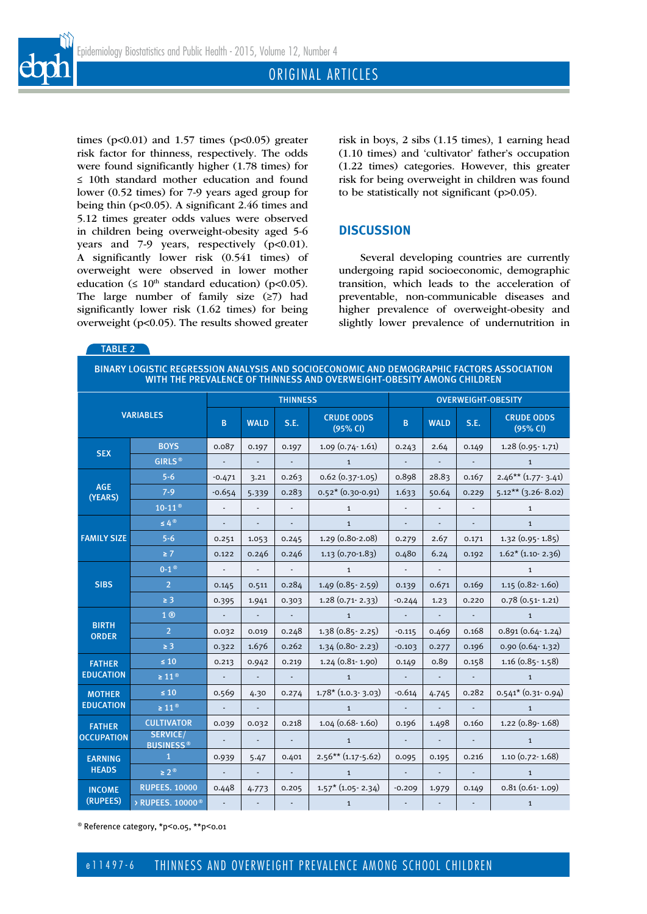

times ( $p<0.01$ ) and 1.57 times ( $p<0.05$ ) greater risk factor for thinness, respectively. The odds were found significantly higher (1.78 times) for ≤ 10th standard mother education and found lower (0.52 times) for 7-9 years aged group for being thin (p<0.05). A significant 2.46 times and 5.12 times greater odds values were observed in children being overweight-obesity aged 5-6 years and 7-9 years, respectively (p<0.01). A significantly lower risk (0.541 times) of overweight were observed in lower mother education ( $\leq 10^{th}$  standard education) (p<0.05). The large number of family size (≥7) had significantly lower risk (1.62 times) for being overweight (p<0.05). The results showed greater

TABLE 2

risk in boys, 2 sibs (1.15 times), 1 earning head (1.10 times) and 'cultivator' father's occupation (1.22 times) categories. However, this greater risk for being overweight in children was found to be statistically not significant (p>0.05).

# **DISCUSSION**

Several developing countries are currently undergoing rapid socioeconomic, demographic transition, which leads to the acceleration of preventable, non-communicable diseases and higher prevalence of overweight-obesity and slightly lower prevalence of undernutrition in

BINARY LOGISTIC REGRESSION ANALYSIS AND SOCIOECONOMIC AND DEMOGRAPHIC FACTORS ASSOCIATION WITH THE PREVALENCE OF THINNESS AND OVERWEIGHT-OBESITY AMONG CHILDREN

| <b>VARIABLES</b>                   |                                     | <b>THINNESS</b>          |                          |               |                               | <b>OVERWEIGHT-OBESITY</b> |                          |                             |                               |  |
|------------------------------------|-------------------------------------|--------------------------|--------------------------|---------------|-------------------------------|---------------------------|--------------------------|-----------------------------|-------------------------------|--|
|                                    |                                     | B                        | <b>WALD</b>              | S.E.          | <b>CRUDE ODDS</b><br>(95% CI) | B                         | <b>WALD</b>              | S.E.                        | <b>CRUDE ODDS</b><br>(95% CI) |  |
| <b>SEX</b>                         | <b>BOYS</b>                         | 0.087                    | 0.197                    | 0.197         | $1.09(0.74-1.61)$             | 0.243                     | 2.64                     | 0.149                       | $1.28(0.95 - 1.71)$           |  |
|                                    | GIRLS <sup>®</sup>                  |                          |                          |               | $\mathbf{1}$                  |                           |                          |                             | $\mathbf{1}$                  |  |
| <b>AGE</b><br>(YEARS)              | $5 - 6$                             | $-0.471$                 | 3.21                     | 0.263         | $0.62(0.37-1.05)$             | 0.898                     | 28.83                    | 0.167                       | $2.46***$ (1.77-3.41)         |  |
|                                    | $7 - 9$                             | $-0.654$                 | 5.339                    | 0.283         | $0.52*(0.30-0.91)$            | 1.633                     | 50.64                    | 0.229                       | $5.12***$ (3.26-8.02)         |  |
|                                    | $10-11$ <sup>®</sup>                |                          | $\blacksquare$           |               | $\mathbf{1}$                  |                           |                          |                             | $\mathbf{1}$                  |  |
| <b>FAMILY SIZE</b>                 | $\leq 4^{\circ}$                    | $\overline{\phantom{a}}$ | $\overline{\phantom{a}}$ | ٠             | $\mathbf 1$                   |                           | $\overline{\phantom{a}}$ | ٠                           | $\mathbf{1}$                  |  |
|                                    | $5 - 6$                             | 0.251                    | 1.053                    | 0.245         | 1.29 (0.80-2.08)              | 0.279                     | 2.67                     | 0.171                       | 1.32 (0.95 - 1.85)            |  |
|                                    | $\geq 7$                            | 0.122                    | 0.246                    | 0.246         | $1.13(0.70-1.83)$             | 0.480                     | 6.24                     | 0.192                       | $1.62*(1.10-2.36)$            |  |
| <b>SIBS</b>                        | $0-1$ <sup>®</sup>                  | $\blacksquare$           | $\overline{\phantom{a}}$ | $\sim$        | $\mathbf{1}$                  | $\overline{\phantom{a}}$  | $\blacksquare$           |                             | $\mathbf{1}$                  |  |
|                                    | $\overline{2}$                      | 0.145                    | 0.511                    | 0.284         | $1.49(0.85 - 2.59)$           | 0.139                     | 0.671                    | 0.169                       | $1.15(0.82 - 1.60)$           |  |
|                                    | $\geq$ 3                            | 0.395                    | 1.941                    | 0.303         | $1.28(0.71-2.33)$             | $-0.244$                  | 1.23                     | 0.220                       | $0.78(0.51 - 1.21)$           |  |
| <b>BIRTH</b><br><b>ORDER</b>       | 1 <sup>®</sup>                      |                          | $\Box$                   | $\mathcal{L}$ | $\mathbf{1}$                  |                           | $\Box$                   | $\mathcal{L}^{\mathcal{L}}$ | $\mathbf{1}$                  |  |
|                                    | $\overline{2}$                      | 0.032                    | 0.019                    | 0.248         | $1.38(0.85 - 2.25)$           | $-0.115$                  | 0.469                    | 0.168                       | $0.891(0.64 - 1.24)$          |  |
|                                    | $\geq 3$                            | 0.322                    | 1.676                    | 0.262         | $1.34(0.80 - 2.23)$           | $-0.103$                  | 0.277                    | 0.196                       | $0.90(0.64 - 1.32)$           |  |
| <b>FATHER</b><br><b>EDUCATION</b>  | $\leq 10$                           | 0.213                    | 0.942                    | 0.219         | $1.24(0.81 - 1.90)$           | 0.149                     | 0.89                     | 0.158                       | $1.16$ (0.85 - 1.58)          |  |
|                                    | $\geq 11$ <sup>®</sup>              | $\blacksquare$           | $\overline{\phantom{a}}$ |               | $\mathbf{1}$                  | $\overline{\phantom{a}}$  | $\blacksquare$           | $\blacksquare$              | $\mathbf{1}$                  |  |
| <b>MOTHER</b><br><b>EDUCATION</b>  | $\leq 10$                           | 0.569                    | 4.30                     | 0.274         | $1.78*(1.0.3-3.03)$           | $-0.614$                  | 4.745                    | 0.282                       | $0.541* (0.31.0.94)$          |  |
|                                    | $\geq 11^{\circ}$                   |                          |                          |               | $\mathbf{1}$                  |                           |                          |                             | $\mathbf{1}$                  |  |
| <b>FATHER</b><br><b>OCCUPATION</b> | <b>CULTIVATOR</b>                   | 0.039                    | 0.032                    | 0.218         | 1.04 (0.68-1.60)              | 0.196                     | 1.498                    | 0.160                       | 1.22 (0.89-1.68)              |  |
|                                    | <b>SERVICE/</b><br><b>BUSINESS®</b> |                          | ÷,                       |               | $\mathbf{1}$                  |                           | $\blacksquare$           |                             | $\mathbf{1}$                  |  |
| <b>EARNING</b><br><b>HEADS</b>     | $\mathbf{1}$                        | 0.939                    | 5.47                     | 0.401         | $2.56***$ (1.17-5.62)         | 0.095                     | 0.195                    | 0.216                       | $1.10(0.72 - 1.68)$           |  |
|                                    | $\geq 2^{\circledcirc}$             | $\blacksquare$           | $\overline{\phantom{a}}$ |               | $\mathbf{1}$                  |                           | $\overline{\phantom{a}}$ | $\blacksquare$              | $\mathbf{1}$                  |  |
| <b>INCOME</b><br>(RUPEES)          | <b>RUPEES. 10000</b>                | 0.448                    | 4.773                    | 0.205         | $1.57*(1.05-2.34)$            | $-0.209$                  | 1.979                    | 0.149                       | $0.81(0.61-1.09)$             |  |
|                                    | > RUPEES. 10000 <sup>®</sup>        |                          |                          |               | $\mathbf{1}$                  |                           |                          |                             | $\mathbf{1}$                  |  |

® Reference category, \*p<0.05, \*\*p<0.01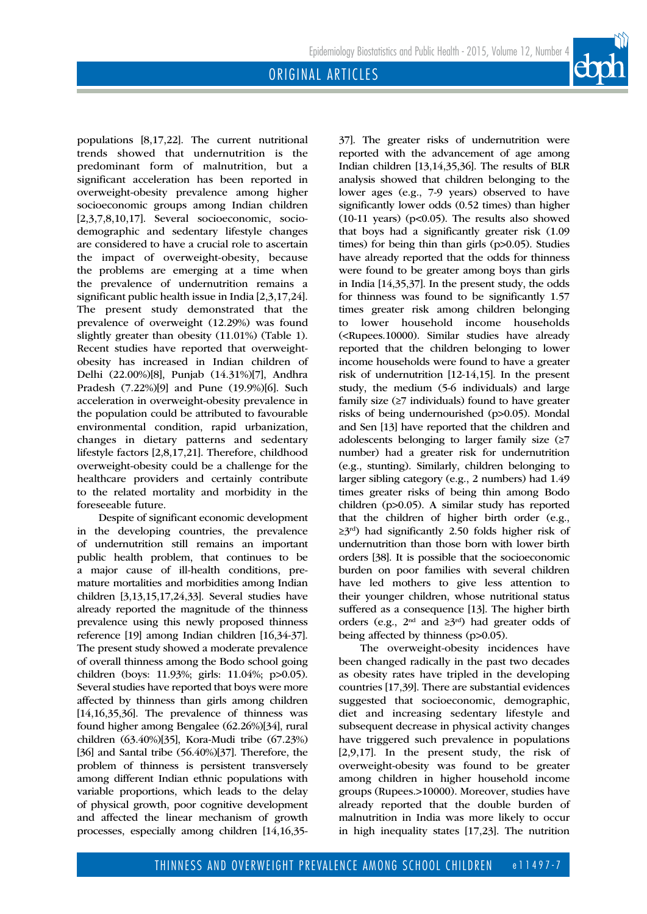populations [8,17,22]. The current nutritional trends showed that undernutrition is the predominant form of malnutrition, but a significant acceleration has been reported in overweight-obesity prevalence among higher socioeconomic groups among Indian children [2,3,7,8,10,17]. Several socioeconomic, sociodemographic and sedentary lifestyle changes are considered to have a crucial role to ascertain the impact of overweight-obesity, because the problems are emerging at a time when the prevalence of undernutrition remains a significant public health issue in India [2,3,17,24]. The present study demonstrated that the prevalence of overweight (12.29%) was found slightly greater than obesity (11.01%) (Table 1). Recent studies have reported that overweightobesity has increased in Indian children of Delhi (22.00%)[8], Punjab (14.31%)[7], Andhra Pradesh (7.22%)[9] and Pune (19.9%)[6]. Such acceleration in overweight-obesity prevalence in the population could be attributed to favourable environmental condition, rapid urbanization, changes in dietary patterns and sedentary lifestyle factors [2,8,17,21]. Therefore, childhood overweight-obesity could be a challenge for the healthcare providers and certainly contribute to the related mortality and morbidity in the foreseeable future.

Despite of significant economic development in the developing countries, the prevalence of undernutrition still remains an important public health problem, that continues to be a major cause of ill-health conditions, premature mortalities and morbidities among Indian children [3,13,15,17,24,33]. Several studies have already reported the magnitude of the thinness prevalence using this newly proposed thinness reference [19] among Indian children [16,34-37]. The present study showed a moderate prevalence of overall thinness among the Bodo school going children (boys: 11.93%; girls: 11.04%; p>0.05). Several studies have reported that boys were more affected by thinness than girls among children [14,16,35,36]. The prevalence of thinness was found higher among Bengalee (62.26%)[34], rural children (63.40%)[35], Kora-Mudi tribe (67.23%) [36] and Santal tribe (56.40%)[37]. Therefore, the problem of thinness is persistent transversely among different Indian ethnic populations with variable proportions, which leads to the delay of physical growth, poor cognitive development and affected the linear mechanism of growth processes, especially among children [14,16,3537]. The greater risks of undernutrition were reported with the advancement of age among Indian children [13,14,35,36]. The results of BLR analysis showed that children belonging to the lower ages (e.g., 7-9 years) observed to have significantly lower odds (0.52 times) than higher  $(10-11 \text{ years})$   $(p<0.05)$ . The results also showed that boys had a significantly greater risk (1.09 times) for being thin than girls (p>0.05). Studies have already reported that the odds for thinness were found to be greater among boys than girls in India [14,35,37]. In the present study, the odds for thinness was found to be significantly 1.57 times greater risk among children belonging to lower household income households (<Rupees.10000). Similar studies have already reported that the children belonging to lower income households were found to have a greater risk of undernutrition [12-14,15]. In the present study, the medium (5-6 individuals) and large family size  $(≥7$  individuals) found to have greater risks of being undernourished (p>0.05). Mondal and Sen [13] have reported that the children and adolescents belonging to larger family size (≥7 number) had a greater risk for undernutrition (e.g., stunting). Similarly, children belonging to larger sibling category (e.g., 2 numbers) had 1.49 times greater risks of being thin among Bodo children (p>0.05). A similar study has reported that the children of higher birth order (e.g.,  $\geq 3^{rd}$ ) had significantly 2.50 folds higher risk of undernutrition than those born with lower birth orders [38]. It is possible that the socioeconomic burden on poor families with several children have led mothers to give less attention to their younger children, whose nutritional status suffered as a consequence [13]. The higher birth orders (e.g., 2nd and ≥3rd) had greater odds of being affected by thinness (p>0.05).

The overweight-obesity incidences have been changed radically in the past two decades as obesity rates have tripled in the developing countries [17,39]. There are substantial evidences suggested that socioeconomic, demographic, diet and increasing sedentary lifestyle and subsequent decrease in physical activity changes have triggered such prevalence in populations [2,9,17]. In the present study, the risk of overweight-obesity was found to be greater among children in higher household income groups (Rupees.>10000). Moreover, studies have already reported that the double burden of malnutrition in India was more likely to occur in high inequality states [17,23]. The nutrition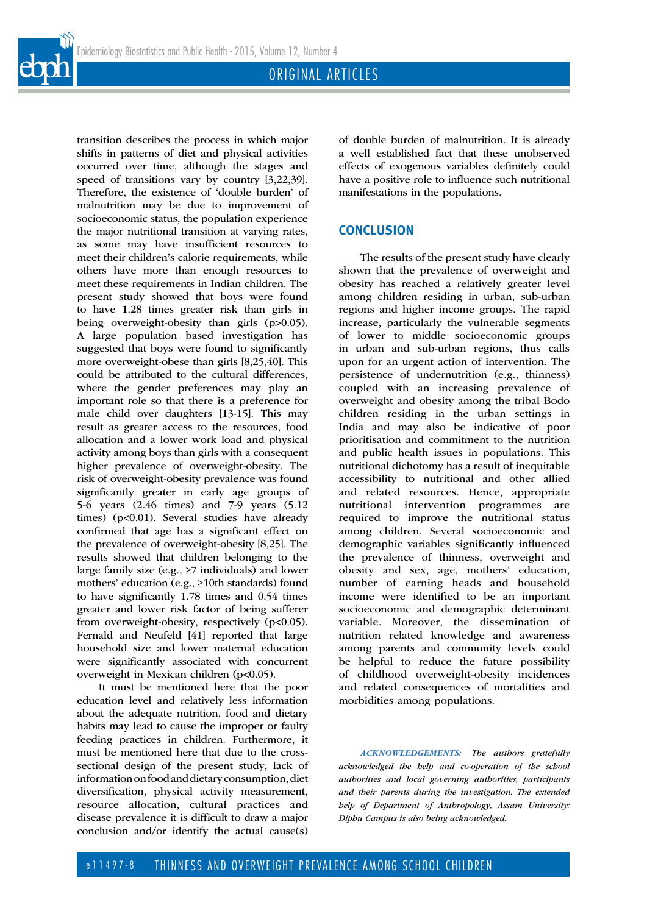



It must be mentioned here that the poor education level and relatively less information about the adequate nutrition, food and dietary habits may lead to cause the improper or faulty feeding practices in children. Furthermore, it must be mentioned here that due to the crosssectional design of the present study, lack of information on food and dietary consumption, diet diversification, physical activity measurement, resource allocation, cultural practices and disease prevalence it is difficult to draw a major conclusion and/or identify the actual cause(s)

of double burden of malnutrition. It is already a well established fact that these unobserved effects of exogenous variables definitely could have a positive role to influence such nutritional manifestations in the populations.

# **CONCLUSION**

The results of the present study have clearly shown that the prevalence of overweight and obesity has reached a relatively greater level among children residing in urban, sub-urban regions and higher income groups. The rapid increase, particularly the vulnerable segments of lower to middle socioeconomic groups in urban and sub-urban regions, thus calls upon for an urgent action of intervention. The persistence of undernutrition (e.g., thinness) coupled with an increasing prevalence of overweight and obesity among the tribal Bodo children residing in the urban settings in India and may also be indicative of poor prioritisation and commitment to the nutrition and public health issues in populations. This nutritional dichotomy has a result of inequitable accessibility to nutritional and other allied and related resources. Hence, appropriate nutritional intervention programmes are required to improve the nutritional status among children. Several socioeconomic and demographic variables significantly influenced the prevalence of thinness, overweight and obesity and sex, age, mothers' education, number of earning heads and household income were identified to be an important socioeconomic and demographic determinant variable. Moreover, the dissemination of nutrition related knowledge and awareness among parents and community levels could be helpful to reduce the future possibility of childhood overweight-obesity incidences and related consequences of mortalities and morbidities among populations.

*ACKNOWLEDGEMENTS: The authors gratefully acknowledged the help and co-operation of the school authorities and local governing authorities, participants and their parents during the investigation. The extended help of Department of Anthropology, Assam University: Diphu Campus is also being acknowledged.*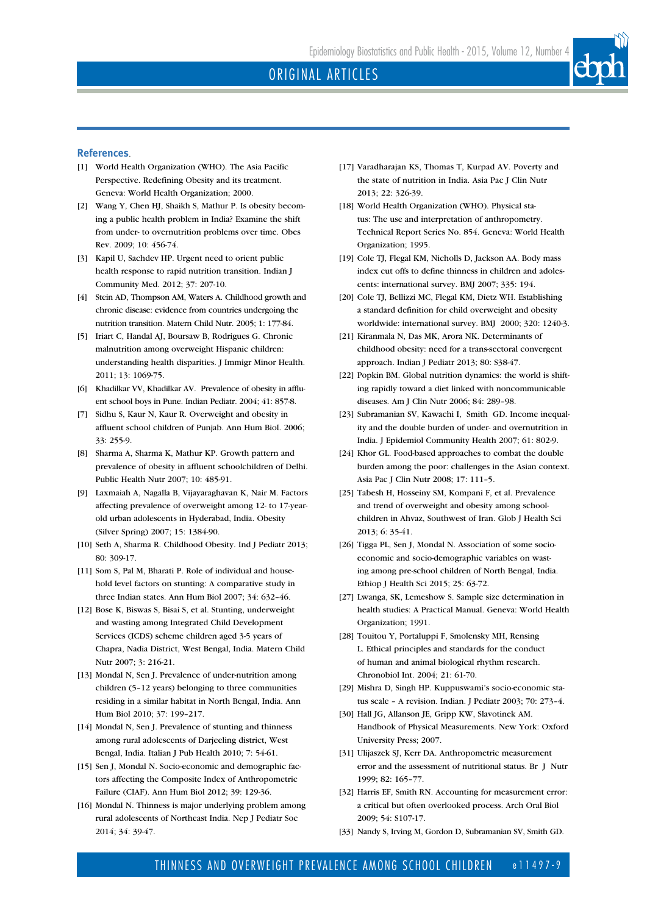

## **References**.

- [1] World Health Organization (WHO). The Asia Pacific Perspective. Redefining Obesity and its treatment. Geneva: World Health Organization; 2000.
- [2] Wang Y, Chen HJ, Shaikh S, Mathur P. Is obesity becoming a public health problem in India? Examine the shift from under- to overnutrition problems over time. Obes Rev. 2009; 10: 456-74.
- [3] Kapil U, Sachdev HP. Urgent need to orient public health response to rapid nutrition transition. Indian J Community Med. 2012; 37: 207-10.
- [4] Stein AD, Thompson AM, Waters A. Childhood growth and chronic disease: evidence from countries undergoing the nutrition transition. Matern Child Nutr. 2005; 1: 177-84.
- [5] Iriart C, Handal AJ, Boursaw B, Rodrigues G. Chronic malnutrition among overweight Hispanic children: understanding health disparities. J Immigr Minor Health. 2011; 13: 1069-75.
- [6] Khadilkar VV, Khadilkar AV. Prevalence of obesity in affluent school boys in Pune. Indian Pediatr. 2004; 41: 857-8.
- [7] Sidhu S, Kaur N, Kaur R. Overweight and obesity in affluent school children of Punjab. Ann Hum Biol. 2006; 33: 255-9.
- [8] Sharma A, Sharma K, Mathur KP. Growth pattern and prevalence of obesity in affluent schoolchildren of Delhi. Public Health Nutr 2007; 10: 485-91.
- [9] Laxmaiah A, Nagalla B, Vijayaraghavan K, Nair M. Factors affecting prevalence of overweight among 12- to 17-yearold urban adolescents in Hyderabad, India. Obesity (Silver Spring) 2007; 15: 1384-90.
- [10] Seth A, Sharma R. Childhood Obesity. Ind J Pediatr 2013; 80: 309-17.
- [11] Som S, Pal M, Bharati P. Role of individual and household level factors on stunting: A comparative study in three Indian states. Ann Hum Biol 2007; 34: 632–46.
- [12] Bose K, Biswas S, Bisai S, et al. Stunting, underweight and wasting among Integrated Child Development Services (ICDS) scheme children aged 3-5 years of Chapra, Nadia District, West Bengal, India. Matern Child Nutr 2007; 3: 216-21.
- [13] Mondal N, Sen J. Prevalence of under-nutrition among children (5–12 years) belonging to three communities residing in a similar habitat in North Bengal, India. Ann Hum Biol 2010; 37: 199–217.
- [14] Mondal N, Sen J. Prevalence of stunting and thinness among rural adolescents of Darjeeling district, West Bengal, India. Italian J Pub Health 2010; 7: 54-61.
- [15] Sen J, Mondal N. Socio-economic and demographic factors affecting the Composite Index of Anthropometric Failure (CIAF). Ann Hum Biol 2012; 39: 129-36.
- [16] Mondal N. Thinness is major underlying problem among rural adolescents of Northeast India. Nep J Pediatr Soc 2014; 34: 39-47.
- [17] Varadharajan KS, Thomas T, Kurpad AV. Poverty and the state of nutrition in India. Asia Pac J Clin Nutr 2013; 22: 326-39.
- [18] World Health Organization (WHO). Physical status: The use and interpretation of anthropometry. Technical Report Series No. 854. Geneva: World Health Organization; 1995.
- [19] Cole TJ, Flegal KM, Nicholls D, Jackson AA. Body mass index cut offs to define thinness in children and adolescents: international survey. BMJ 2007; 335: 194.
- [20] Cole TJ, Bellizzi MC, Flegal KM, Dietz WH. Establishing a standard definition for child overweight and obesity worldwide: international survey. BMJ 2000; 320: 1240-3.
- [21] Kiranmala N, Das MK, Arora NK. Determinants of childhood obesity: need for a trans-sectoral convergent approach. Indian J Pediatr 2013; 80: S38-47.
- [22] Popkin BM. Global nutrition dynamics: the world is shifting rapidly toward a diet linked with noncommunicable diseases. Am J Clin Nutr 2006; 84: 289–98.
- [23] Subramanian SV, Kawachi I, Smith GD. Income inequality and the double burden of under- and overnutrition in India. J Epidemiol Community Health 2007; 61: 802-9.
- [24] Khor GL. Food-based approaches to combat the double burden among the poor: challenges in the Asian context. Asia Pac J Clin Nutr 2008; 17: 111–5.
- [25] Tabesh H, Hosseiny SM, Kompani F, et al. Prevalence and trend of overweight and obesity among schoolchildren in Ahvaz, Southwest of Iran. Glob J Health Sci 2013; 6: 35-41.
- [26] Tigga PL, Sen J, Mondal N. Association of some socioeconomic and socio-demographic variables on wasting among pre-school children of North Bengal, India. Ethiop J Health Sci 2015; 25: 63-72.
- [27] Lwanga, SK, Lemeshow S. Sample size determination in health studies: A Practical Manual. Geneva: World Health Organization; 1991.
- [28] Touitou Y, Portaluppi F, Smolensky MH, Rensing L. Ethical principles and standards for the conduct of human and animal biological rhythm research. Chronobiol Int. 2004; 21: 61-70.
- [29] Mishra D, Singh HP. Kuppuswami's socio-economic status scale – A revision. Indian. J Pediatr 2003; 70: 273–4.
- [30] Hall JG, Allanson JE, Gripp KW, Slavotinek AM. Handbook of Physical Measurements. New York: Oxford University Press; 2007.
- [31] Ulijaszek SJ, Kerr DA. Anthropometric measurement error and the assessment of nutritional status. Br J Nutr 1999; 82: 165–77.
- [32] Harris EF, Smith RN. Accounting for measurement error: a critical but often overlooked process. Arch Oral Biol 2009; 54: S107-17.
- [33] Nandy S, Irving M, Gordon D, Subramanian SV, Smith GD.